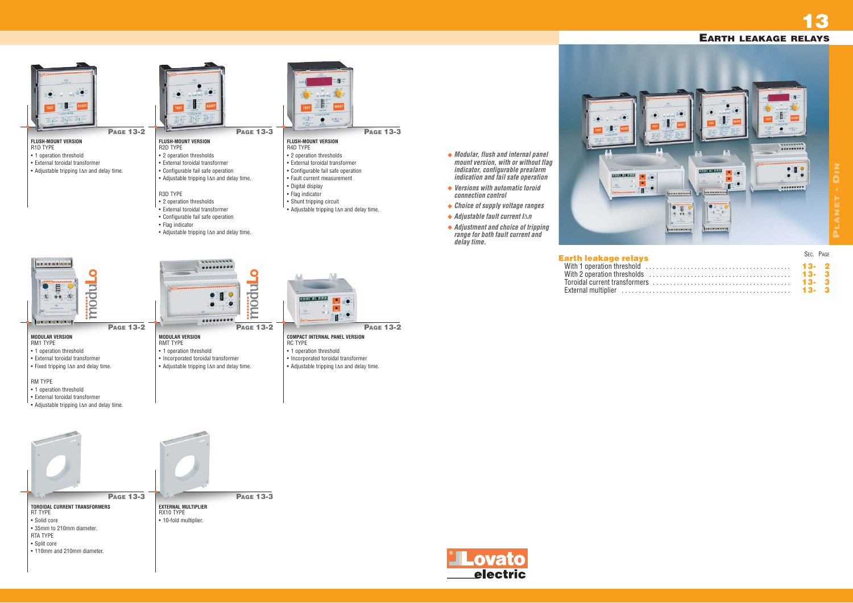| S. |      | SEC. PAGE |  |
|----|------|-----------|--|
|    | 13-2 |           |  |
|    |      |           |  |
|    |      |           |  |
|    | 13-3 |           |  |
|    |      |           |  |

### **Earth leakage relays** With 1 operation threshold

With 2 operation thresholds Toroidal current transformer External multiplier . . . . . . .

Lovato electric



**13**

*connection control*

*range for both fault current and*



*delay time.*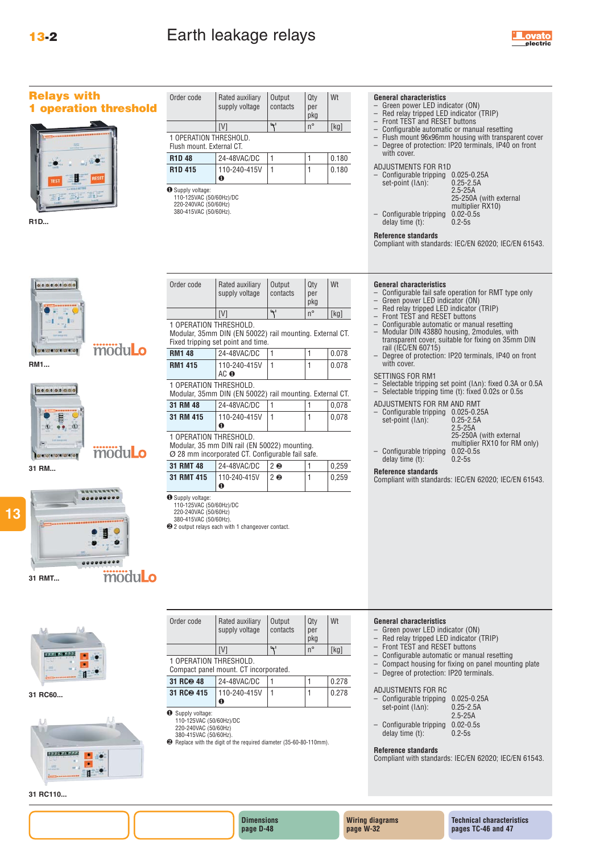

| <b>Relays with</b><br><b>1 operation threshold</b> | Order code                                                                                                       | Rated auxiliary<br>supply voltage                                                                | Output<br>contacts    | Qty<br>per<br>pkg  | Wt                                                                                                                                                                                            | <b>General characteristics</b><br>- Green power LED indicator (ON)<br>- Red relay tripped LED indicator (TRIP)                                                                                                                                                    |  |  |  |
|----------------------------------------------------|------------------------------------------------------------------------------------------------------------------|--------------------------------------------------------------------------------------------------|-----------------------|--------------------|-----------------------------------------------------------------------------------------------------------------------------------------------------------------------------------------------|-------------------------------------------------------------------------------------------------------------------------------------------------------------------------------------------------------------------------------------------------------------------|--|--|--|
|                                                    | 4'<br>$n^{\circ}$<br>[V]<br>$[kg]$                                                                               |                                                                                                  |                       |                    | - Front TEST and RESET buttons<br>- Configurable automatic or manual resetting<br>Flush mount 96x96mm housing with transparent cover<br>- Degree of protection: IP20 terminals, IP40 on front |                                                                                                                                                                                                                                                                   |  |  |  |
|                                                    | 1 OPERATION THRESHOLD.<br>Flush mount. External CT.                                                              |                                                                                                  |                       |                    |                                                                                                                                                                                               |                                                                                                                                                                                                                                                                   |  |  |  |
|                                                    | <b>R1D 48</b>                                                                                                    | 24-48VAC/DC                                                                                      | 1                     | 1                  | 0.180                                                                                                                                                                                         | with cover.                                                                                                                                                                                                                                                       |  |  |  |
|                                                    | R <sub>1</sub> D <sub>415</sub>                                                                                  | 110-240-415V                                                                                     | 1                     | $\mathbf{1}$       | 0.180                                                                                                                                                                                         | <b>ADJUSTMENTS FOR R1D</b><br>- Configurable tripping 0.025-0.25A                                                                                                                                                                                                 |  |  |  |
| <b>IFSET</b><br>R1D                                | $\bf{0}$<br><b>O</b> Supply voltage:<br>110-125VAC (50/60Hz)/DC<br>220-240VAC (50/60Hz)<br>380-415VAC (50/60Hz). |                                                                                                  |                       |                    |                                                                                                                                                                                               | set-point $(\Delta n)$ :<br>$0.25 - 2.5A$<br>$2.5 - 25A$<br>25-250A (with external<br>multiplier RX10)<br>Configurable tripping<br>$0.02 - 0.5s$<br>delay time (t):<br>$0.2 - 5s$<br>Reference standards<br>Compliant with standards: IEC/EN 62020; IEC/EN 61543. |  |  |  |
| 000000000                                          | Order code                                                                                                       | Rated auxiliary                                                                                  | Output                | Qty                | Wt                                                                                                                                                                                            | <b>General characteristics</b>                                                                                                                                                                                                                                    |  |  |  |
|                                                    |                                                                                                                  | supply voltage                                                                                   | contacts              | per                |                                                                                                                                                                                               | Configurable fail safe operation for RMT type only<br>$-$<br>- Green power LED indicator (ON)                                                                                                                                                                     |  |  |  |
|                                                    |                                                                                                                  | [V]                                                                                              | $\overline{\Upsilon}$ | pkg<br>$n^{\circ}$ | $[kg]$                                                                                                                                                                                        | - Red relay tripped LED indicator (TRIP)                                                                                                                                                                                                                          |  |  |  |
|                                                    | 1 OPERATION THRESHOLD.                                                                                           |                                                                                                  |                       |                    |                                                                                                                                                                                               | - Front TEST and RESET buttons<br>- Configurable automatic or manual resetting                                                                                                                                                                                    |  |  |  |
|                                                    |                                                                                                                  | Modular, 35mm DIN (EN 50022) rail mounting. External CT.                                         |                       |                    |                                                                                                                                                                                               | - Modular DIN 43880 housing, 2modules, with<br>transparent cover, suitable for fixing on 35mm DIN                                                                                                                                                                 |  |  |  |
| moduLo<br><b>Teleforerare and</b>                  | <b>RM1 48</b>                                                                                                    | Fixed tripping set point and time.<br>24-48VAC/DC                                                |                       |                    | 0.078                                                                                                                                                                                         | rail (IEC/EN 60715)                                                                                                                                                                                                                                               |  |  |  |
| RM1                                                | <b>RM1 415</b>                                                                                                   | 110-240-415V                                                                                     | 1                     | $\mathbf{1}$       | 0.078                                                                                                                                                                                         | - Degree of protection: IP20 terminals, IP40 on front<br>with cover.                                                                                                                                                                                              |  |  |  |
|                                                    |                                                                                                                  | AC O                                                                                             |                       |                    |                                                                                                                                                                                               | SETTINGS FOR RM1                                                                                                                                                                                                                                                  |  |  |  |
| 0000000000                                         | 1 OPERATION THRESHOLD.                                                                                           |                                                                                                  |                       |                    |                                                                                                                                                                                               | - Selectable tripping set point ( $ \Delta n $ ): fixed 0.3A or 0.5A<br>- Selectable tripping time (t): fixed 0.02s or 0.5s                                                                                                                                       |  |  |  |
|                                                    | Modular, 35mm DIN (EN 50022) rail mounting. External CT.<br>31 RM 48<br>24-48VAC/DC                              |                                                                                                  |                       |                    | 0,078                                                                                                                                                                                         | ADJUSTMENTS FOR RM AND RMT                                                                                                                                                                                                                                        |  |  |  |
|                                                    | 31 RM 415                                                                                                        | 110-240-415V                                                                                     | 1                     | 1                  | 0,078                                                                                                                                                                                         | - Configurable tripping 0.025-0.25A                                                                                                                                                                                                                               |  |  |  |
|                                                    |                                                                                                                  | $\bf o$                                                                                          |                       |                    |                                                                                                                                                                                               | $0.25 - 2.5A$<br>set-point $(\Delta n)$ :<br>$2.5 - 25A$                                                                                                                                                                                                          |  |  |  |
|                                                    | 1 OPERATION THRESHOLD.                                                                                           |                                                                                                  |                       |                    |                                                                                                                                                                                               | 25-250A (with external<br>multiplier RX10 for RM only)                                                                                                                                                                                                            |  |  |  |
| moduLo<br><b>Instancements</b>                     |                                                                                                                  | Modular, 35 mm DIN rail (EN 50022) mounting.<br>Ø 28 mm incorporated CT. Configurable fail safe. |                       |                    |                                                                                                                                                                                               | - Configurable tripping<br>$0.02 - 0.5s$                                                                                                                                                                                                                          |  |  |  |
| 31 RM                                              | 31 RMT 48                                                                                                        | 24-48VAC/DC<br>2 <sub>0</sub><br>0,259                                                           |                       |                    |                                                                                                                                                                                               | delay time $(t)$ :<br>$0.2 - 5s$                                                                                                                                                                                                                                  |  |  |  |
|                                                    | 31 RMT 415                                                                                                       | 110-240-415V                                                                                     | 2 <sub>0</sub>        | 1                  | 0,259                                                                                                                                                                                         | Reference standards<br>Compliant with standards: IEC/EN 62020; IEC/EN 61543.                                                                                                                                                                                      |  |  |  |
| moduLo<br>31 RMT                                   | <b>O</b> Supply voltage:<br>110-125VAC (50/60Hz)/DC<br>220-240VAC (50/60Hz)<br>380-415VAC (50/60Hz).             | $\bf{0}$<br>2 2 output relays each with 1 changeover contact.                                    |                       |                    |                                                                                                                                                                                               |                                                                                                                                                                                                                                                                   |  |  |  |
|                                                    | Order code                                                                                                       | Rated auxiliary<br>supply voltage                                                                | Output<br>contacts    | Qty<br>per<br>pkg  | Wt                                                                                                                                                                                            | <b>General characteristics</b><br>- Green power LED indicator (ON)<br>- Red relay tripped LED indicator (TRIP)                                                                                                                                                    |  |  |  |
|                                                    |                                                                                                                  | [V]                                                                                              | 4'                    | $n^{\circ}$        | $[kg]$                                                                                                                                                                                        | Front TEST and RESET buttons<br>Configurable automatic or manual resetting<br>$\qquad \qquad -$                                                                                                                                                                   |  |  |  |
|                                                    | 1 OPERATION THRESHOLD.<br>Compact panel mount. CT incorporated.                                                  |                                                                                                  |                       |                    | Compact housing for fixing on panel mounting plate<br>$\overline{\phantom{0}}$                                                                                                                |                                                                                                                                                                                                                                                                   |  |  |  |
|                                                    | 31 RC@ 48                                                                                                        | 24-48VAC/DC                                                                                      |                       | 1                  | 0.278                                                                                                                                                                                         | - Degree of protection: IP20 terminals.                                                                                                                                                                                                                           |  |  |  |
| 31 RC60                                            | 31 RC <sup>@</sup> 415                                                                                           | 110-240-415V                                                                                     | 1                     | 1                  | 0.278                                                                                                                                                                                         | ADJUSTMENTS FOR RC                                                                                                                                                                                                                                                |  |  |  |
|                                                    |                                                                                                                  | $\bf{o}$                                                                                         |                       |                    |                                                                                                                                                                                               | - Configurable tripping 0.025-0.25A<br>set-point (IAn):<br>$0.25 - 2.5A$                                                                                                                                                                                          |  |  |  |
|                                                    | <b>O</b> Supply voltage:<br>110-125VAC (50/60Hz)/DC<br>220-240VAC (50/60Hz)<br>380-415VAC (50/60Hz).             | <sup>2</sup> Replace with the digit of the required diameter (35-60-80-110mm).                   |                       |                    |                                                                                                                                                                                               | $2.5 - 25A$<br>- Configurable tripping 0.02-0.5s<br>delay time (t):<br>$0.2 - 5s$<br>Reference standards<br>Compliant with standards: IEC/EN 62020; IEC/EN 61543.                                                                                                 |  |  |  |

**31 RC110...**

**13**

**Dimensions page D-48**

**Wiring diagrams page W-32**

**Technical characteristics pages TC-46 and 47**